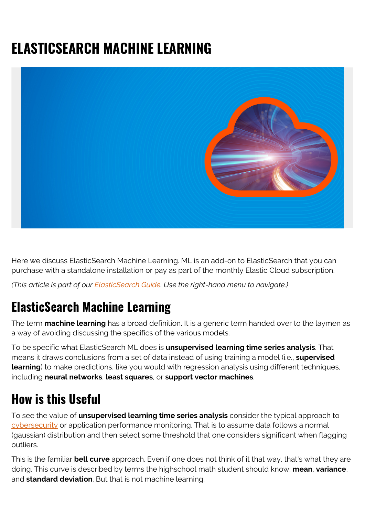# **ELASTICSEARCH MACHINE LEARNING**



Here we discuss ElasticSearch Machine Learning. ML is an add-on to ElasticSearch that you can purchase with a standalone installation or pay as part of the monthly Elastic Cloud subscription.

*(This article is part of our [ElasticSearch Guide.](https://blogs.bmc.com/blogs/elasticsearch-introduction/) Use the right-hand menu to navigate.)*

#### **ElasticSearch Machine Learning**

The term **machine learning** has a broad definition. It is a generic term handed over to the laymen as a way of avoiding discussing the specifics of the various models.

To be specific what ElasticSearch ML does is **unsupervised learning time series analysis**. That means it draws conclusions from a set of data instead of using training a model (i.e., **supervised learning**) to make predictions, like you would with regression analysis using different techniques, including **neural networks**, **least squares**, or **support vector machines**.

#### **How is this Useful**

To see the value of **unsupervised learning time series analysis** consider the typical approach to [cybersecurity](https://blogs.bmc.com/blogs/cybersecurity/) or application performance monitoring. That is to assume data follows a normal (gaussian) distribution and then select some threshold that one considers significant when flagging outliers.

This is the familiar **bell curve** approach. Even if one does not think of it that way, that's what they are doing. This curve is described by terms the highschool math student should know: **mean**, **variance**, and **standard deviation**. But that is not machine learning.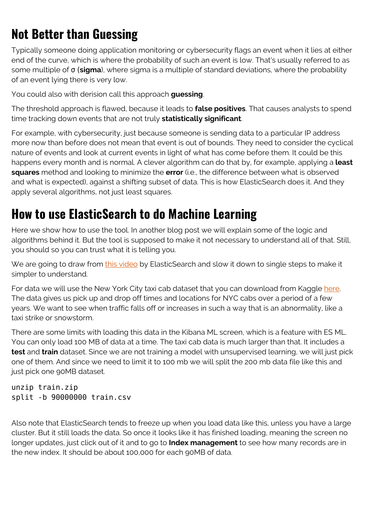## **Not Better than Guessing**

Typically someone doing application monitoring or cybersecurity flags an event when it lies at either end of the curve, which is where the probability of such an event is low. That's usually referred to as some multiple of σ (**sigma**), where sigma is a multiple of standard deviations, where the probability of an event lying there is very low.

You could also with derision call this approach **guessing**.

The threshold approach is flawed, because it leads to **false positives**. That causes analysts to spend time tracking down events that are not truly **statistically significant**.

For example, with cybersecurity, just because someone is sending data to a particular IP address more now than before does not mean that event is out of bounds. They need to consider the cyclical nature of events and look at current events in light of what has come before them. It could be this happens every month and is normal. A clever algorithm can do that by, for example, applying a **least squares** method and looking to minimize the **error** (i.e., the difference between what is observed and what is expected), against a shifting subset of data. This is how ElasticSearch does it. And they apply several algorithms, not just least squares.

#### **How to use ElasticSearch to do Machine Learning**

Here we show how to use the tool. In another blog post we will explain some of the logic and algorithms behind it. But the tool is supposed to make it not necessary to understand all of that. Still, you should so you can trust what it is telling you.

We are going to draw from [this video](https://www.elastic.co/elasticon/conf/2017/sf/machine-learning-and-statistical-methods-for-time-series-analysis) by ElasticSearch and slow it down to single steps to make it simpler to understand.

For data we will use the New York City taxi cab dataset that you can download from Kaggle [here](https://www.kaggle.com/c/nyc-taxi-trip-duration/data). The data gives us pick up and drop off times and locations for NYC cabs over a period of a few years. We want to see when traffic falls off or increases in such a way that is an abnormality, like a taxi strike or snowstorm.

There are some limits with loading this data in the Kibana ML screen, which is a feature with ES ML. You can only load 100 MB of data at a time. The taxi cab data is much larger than that. It includes a **test** and **train** dataset. Since we are not training a model with unsupervised learning, we will just pick one of them. And since we need to limit it to 100 mb we will split the 200 mb data file like this and just pick one 90MB dataset.

unzip train.zip split -b 90000000 train.csv

Also note that ElasticSearch tends to freeze up when you load data like this, unless you have a large cluster. But it still loads the data. So once it looks like it has finished loading, meaning the screen no longer updates, just click out of it and to go to **Index management** to see how many records are in the new index. It should be about 100,000 for each 90MB of data.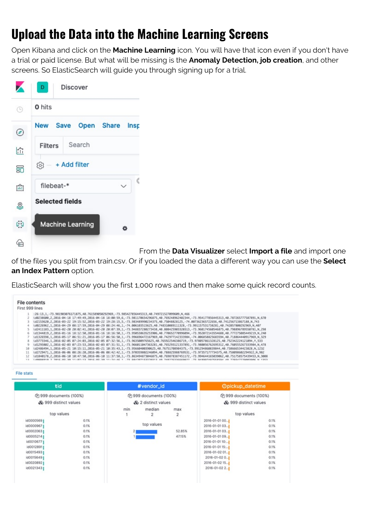### **Upload the Data into the Machine Learning Screens**

Open Kibana and click on the **Machine Learning** icon. You will have that icon even if you don't have a trial or paid license. But what will be missing is the **Anomaly Detection, job creation**, and other screens. So ElasticSearch will guide you through signing up for a trial.

|       | <b>Discover</b><br>D.                         |
|-------|-----------------------------------------------|
| B     | <b>0</b> hits                                 |
| ◉     | New Save Open Share Insp                      |
| 仚     | Search<br><b>Filters</b>                      |
| 56    | $\textcircled{\scriptsize{2}}$ - + Add filter |
| 倫     | filebeat-*                                    |
| Q     | <b>Selected fields</b>                        |
| ربأيا | <b>Machine Learning</b><br>۰                  |
|       |                                               |

From the **Data Visualizer** select **Import a file** and import one

of the files you split from train.csv. Or if you loaded the data a different way you can use the **Select an Index Pattern** option.

ElasticSearch will show you the first 1,000 rows and then make some quick record counts.

| File contents                                                                                                                                                                                                                                                                                                                                                                                                                                                                                                                                                                                                                                                                                                                                                                                                                                                                                                                                                                                                                                                                                                                                                                                                                                                                                                                                                                                                                                                                                                                                                       |
|---------------------------------------------------------------------------------------------------------------------------------------------------------------------------------------------------------------------------------------------------------------------------------------------------------------------------------------------------------------------------------------------------------------------------------------------------------------------------------------------------------------------------------------------------------------------------------------------------------------------------------------------------------------------------------------------------------------------------------------------------------------------------------------------------------------------------------------------------------------------------------------------------------------------------------------------------------------------------------------------------------------------------------------------------------------------------------------------------------------------------------------------------------------------------------------------------------------------------------------------------------------------------------------------------------------------------------------------------------------------------------------------------------------------------------------------------------------------------------------------------------------------------------------------------------------------|
| First 999 lines                                                                                                                                                                                                                                                                                                                                                                                                                                                                                                                                                                                                                                                                                                                                                                                                                                                                                                                                                                                                                                                                                                                                                                                                                                                                                                                                                                                                                                                                                                                                                     |
| :26:13.1.-73.981903076171875.40.761589050292909.-73.985427856445313.40.749721527099609.N.466<br>1d0238600.2.2016-04-18 17:49:49.2016-04-18 18:00:59.6.-73.981170654296875.40.769248962402344.-73.954177856445313.40.787265777587891.N.670<br>id2153620,2,2016-03-22 19:15:52,2016-03-22 19:28:15,5,-73.983489990234375,40.75048828125,-74.007362365722656,40.741256713867188,N,743<br>1d8226962,1,2016-04-29 08:17:59,2016-04-29 08:24:46,1,-74.006103515625,40.748310089111328,-73.991157531738281,40.742057800292969,N,407<br>1d2411183.1.2016-02-20 20:02:41.2016-02-20 20:07:39.1.-73.948837280273438.40.808425903320313.-73.960174560546875.40.798896789550781.N.298<br>id1344819.2.2016-01-16 18:12:50.2016-01-16 18:16:50.1.-73.950538635253906.40.770652770996094.-73.952072143554688.40.777275085449219.N.240<br>(d1326598,1,2016-05-17 06:51:21,2016-05-17 06:56:50,1,-73.996696472167969,40.742977142333984,-74.006858825683594,40.718864440917969,N.329<br>1d3773346,1,2016-02-05 07:24:03,2016-02-05 07:32:56,1,-73.9635009765625,40.765922546386719,-73.978057861328125,40.752342224121094,Y,533<br>id1293882,1,2016-02-03 07:23:53,2016-02-03 07:31:51,1,-73.966011047363281,40.765293121337891,-73.980056762695312,40.760555267333984,N,478<br>id2486494, 1, 2016-05-21 10:15:11, 2016-05-21 10:35:43, 1, -73.95660400390625, 40.76751708984375, -73.991294860839844, 40.738666534423828, N, 1232<br>10<br>id2729471,1,2016-06-06 08:26:20,2016-06-06 08:42:42,1,-73.970359802246094,40.788825988769531,-73.97357177734375,40.758098602294922,N,982 |
| 1d1840178.2.2016-06-10 10:47:50.2016-06-10 11:37:58.1.-73.863494873046875.40.769878387451172.-73.994644165039062.40.751758575439453.N.3008                                                                                                                                                                                                                                                                                                                                                                                                                                                                                                                                                                                                                                                                                                                                                                                                                                                                                                                                                                                                                                                                                                                                                                                                                                                                                                                                                                                                                          |

**File stats** 

| tid                                                            |              | #vendor_id                                    |             |                                                   | Opickup_datetime                    |              |
|----------------------------------------------------------------|--------------|-----------------------------------------------|-------------|---------------------------------------------------|-------------------------------------|--------------|
| Ch 999 documents (100%)<br>& 999 distinct values<br>top values |              | @ 999 documents (100%)<br>& 2 distinct values |             | (2) 999 documents (100%)<br>& 999 distinct values |                                     |              |
|                                                                |              | min                                           | median<br>2 | max<br>2                                          | top values                          |              |
| id0000569<br>id00009671                                        | 0.1%<br>0.1% |                                               | top values  |                                                   | 2016-01-01 00. 1<br>2016-01-01 03.1 | 0.1%<br>0.1% |
| id0002063                                                      | 0.1%         | 21                                            |             | 52.85%                                            | 2016-01-01 03.1                     | 0.1%         |
| id0005214<br>id0010677                                         | 0.1%<br>0.1% |                                               |             | 47,15%                                            | 2016-01-01 09.1<br>2016-01-01 10:   | 0.1%<br>0.1% |
| id00128911<br>id00154931                                       | 0.1%<br>0.1% |                                               |             |                                                   | 2016-01-01 15:<br>2016-01-02 01     | 0.1%<br>0.1% |
| id0015649<br>id00208921                                        | 0.1%<br>0.1% |                                               |             |                                                   | 2016-01-02 0<br>2016-01-02 15.1     | 0.1%<br>0.1% |
| id0021343                                                      | 0.1%         |                                               |             |                                                   | 2016-01-02 2                        | 0.1%         |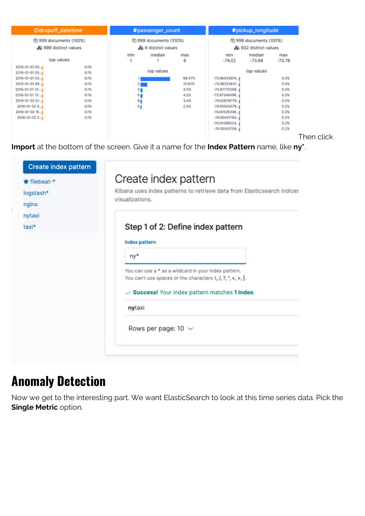

Then click

**Import** at the bottom of the screen. Give it a name for the **Index Pattern** name, like **ny\***.

| $\bigstar$ filebeat-*<br>logstash*<br>nginx | Create index pattern<br>Create index pattern<br>Kibana uses index patterns to retrieve data from Elasticsearch indices<br>visualizations.                                                           |  |  |  |  |
|---------------------------------------------|-----------------------------------------------------------------------------------------------------------------------------------------------------------------------------------------------------|--|--|--|--|
| nytaxi<br>taxi*                             | Step 1 of 2: Define index pattern<br>Index pattern                                                                                                                                                  |  |  |  |  |
|                                             | ny*                                                                                                                                                                                                 |  |  |  |  |
|                                             | You can use a * as a wildcard in your index pattern.<br>You can't use spaces or the characters $\setminus$ , $\setminus$ , $?$ , ", <, >,  .<br>$\vee$ Success! Your index pattern matches 1 index. |  |  |  |  |
|                                             | nytaxi                                                                                                                                                                                              |  |  |  |  |
|                                             | Rows per page: 10 $\sqrt{ }$                                                                                                                                                                        |  |  |  |  |

#### **Anomaly Detection**

Now we get to the interesting part. We want ElasticSearch to look at this time series data. Pick the **Single Metric** option.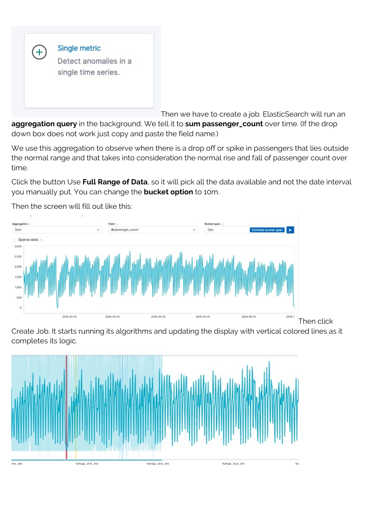

Then we have to create a job. ElasticSearch will run an

**aggregation query** in the background. We tell it to **sum passenger\_count** over time. (If the drop down box does not work just copy and paste the field name.)

We use this aggregation to observe when there is a drop off or spike in passengers that lies outside the normal range and that takes into consideration the normal rise and fall of passenger count over time.

Click the button Use **Full Range of Data**, so it will pick all the data available and not the date interval you manually put. You can change the **bucket option** to 10m.



Then the screen will fill out like this:

Create Job. It starts running its algorithms and updating the display with vertical colored lines as it completes its logic.